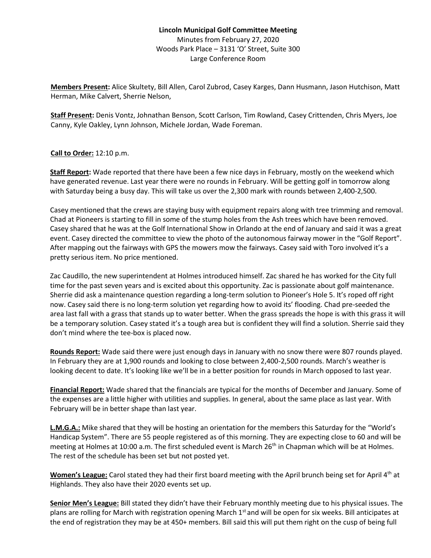## **Lincoln Municipal Golf Committee Meeting** Minutes from February 27, 2020 Woods Park Place – 3131 'O' Street, Suite 300 Large Conference Room

**Members Present:** Alice Skultety, Bill Allen, Carol Zubrod, Casey Karges, Dann Husmann, Jason Hutchison, Matt Herman, Mike Calvert, Sherrie Nelson,

**Staff Present:** Denis Vontz, Johnathan Benson, Scott Carlson, Tim Rowland, Casey Crittenden, Chris Myers, Joe Canny, Kyle Oakley, Lynn Johnson, Michele Jordan, Wade Foreman.

**Call to Order:** 12:10 p.m.

**Staff Report:** Wade reported that there have been a few nice days in February, mostly on the weekend which have generated revenue. Last year there were no rounds in February. Will be getting golf in tomorrow along with Saturday being a busy day. This will take us over the 2,300 mark with rounds between 2,400-2,500.

Casey mentioned that the crews are staying busy with equipment repairs along with tree trimming and removal. Chad at Pioneers is starting to fill in some of the stump holes from the Ash trees which have been removed. Casey shared that he was at the Golf International Show in Orlando at the end of January and said it was a great event. Casey directed the committee to view the photo of the autonomous fairway mower in the "Golf Report". After mapping out the fairways with GPS the mowers mow the fairways. Casey said with Toro involved it's a pretty serious item. No price mentioned.

Zac Caudillo, the new superintendent at Holmes introduced himself. Zac shared he has worked for the City full time for the past seven years and is excited about this opportunity. Zac is passionate about golf maintenance. Sherrie did ask a maintenance question regarding a long-term solution to Pioneer's Hole 5. It's roped off right now. Casey said there is no long-term solution yet regarding how to avoid its' flooding. Chad pre-seeded the area last fall with a grass that stands up to water better. When the grass spreads the hope is with this grass it will be a temporary solution. Casey stated it's a tough area but is confident they will find a solution. Sherrie said they don't mind where the tee-box is placed now.

**Rounds Report:** Wade said there were just enough days in January with no snow there were 807 rounds played. In February they are at 1,900 rounds and looking to close between 2,400-2,500 rounds. March's weather is looking decent to date. It's looking like we'll be in a better position for rounds in March opposed to last year.

**Financial Report:** Wade shared that the financials are typical for the months of December and January. Some of the expenses are a little higher with utilities and supplies. In general, about the same place as last year. With February will be in better shape than last year.

**L.M.G.A.:** Mike shared that they will be hosting an orientation for the members this Saturday for the "World's Handicap System". There are 55 people registered as of this morning. They are expecting close to 60 and will be meeting at Holmes at 10:00 a.m. The first scheduled event is March 26<sup>th</sup> in Chapman which will be at Holmes. The rest of the schedule has been set but not posted yet.

**Women's League:** Carol stated they had their first board meeting with the April brunch being set for April 4th at Highlands. They also have their 2020 events set up.

**Senior Men's League:** Bill stated they didn't have their February monthly meeting due to his physical issues. The plans are rolling for March with registration opening March  $1<sup>st</sup>$  and will be open for six weeks. Bill anticipates at the end of registration they may be at 450+ members. Bill said this will put them right on the cusp of being full